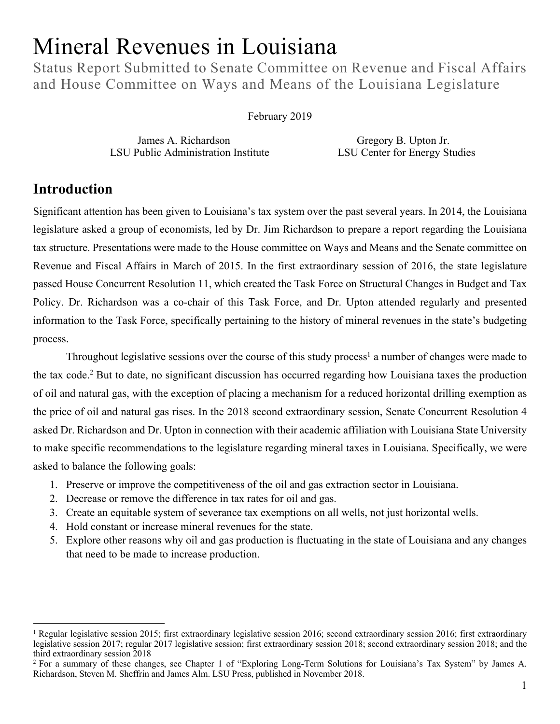# Mineral Revenues in Louisiana

Status Report Submitted to Senate Committee on Revenue and Fiscal Affairs and House Committee on Ways and Means of the Louisiana Legislature

#### February 2019

James A. Richardson Gregory B. Upton Jr. LSU Public Administration Institute LSU Center for Energy Studies

# **Introduction**

Significant attention has been given to Louisiana's tax system over the past several years. In 2014, the Louisiana legislature asked a group of economists, led by Dr. Jim Richardson to prepare a report regarding the Louisiana tax structure. Presentations were made to the House committee on Ways and Means and the Senate committee on Revenue and Fiscal Affairs in March of 2015. In the first extraordinary session of 2016, the state legislature passed House Concurrent Resolution 11, which created the Task Force on Structural Changes in Budget and Tax Policy. Dr. Richardson was a co-chair of this Task Force, and Dr. Upton attended regularly and presented information to the Task Force, specifically pertaining to the history of mineral revenues in the state's budgeting process.

Throughout legislative sessions over the course of this study process<sup>1</sup> a number of changes were made to the tax code.2 But to date, no significant discussion has occurred regarding how Louisiana taxes the production of oil and natural gas, with the exception of placing a mechanism for a reduced horizontal drilling exemption as the price of oil and natural gas rises. In the 2018 second extraordinary session, Senate Concurrent Resolution 4 asked Dr. Richardson and Dr. Upton in connection with their academic affiliation with Louisiana State University to make specific recommendations to the legislature regarding mineral taxes in Louisiana. Specifically, we were asked to balance the following goals:

- 1. Preserve or improve the competitiveness of the oil and gas extraction sector in Louisiana.
- 2. Decrease or remove the difference in tax rates for oil and gas.
- 3. Create an equitable system of severance tax exemptions on all wells, not just horizontal wells.
- 4. Hold constant or increase mineral revenues for the state.
- 5. Explore other reasons why oil and gas production is fluctuating in the state of Louisiana and any changes that need to be made to increase production.

<sup>&</sup>lt;sup>1</sup> Regular legislative session 2015; first extraordinary legislative session 2016; second extraordinary session 2016; first extraordinary legislative session 2017; regular 2017 legislative session; first extraordinary session 2018; second extraordinary session 2018; and the third extraordinary session 2018

<sup>&</sup>lt;sup>2</sup> For a summary of these changes, see Chapter 1 of "Exploring Long-Term Solutions for Louisiana's Tax System" by James A. Richardson, Steven M. Sheffrin and James Alm. LSU Press, published in November 2018.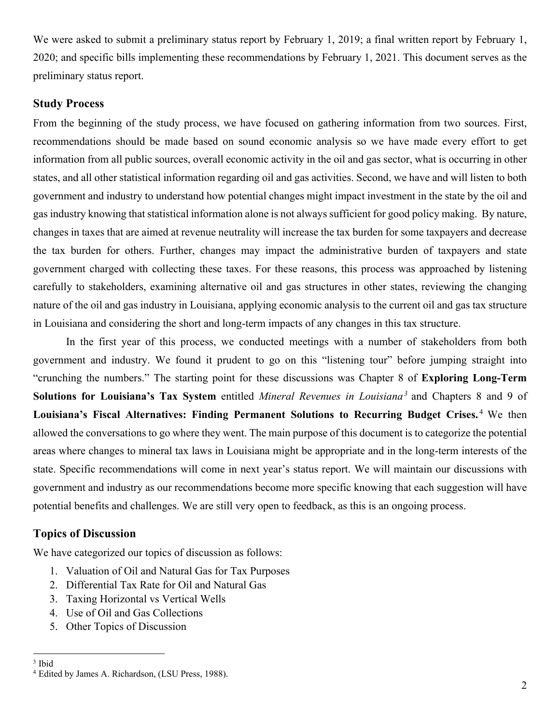We were asked to submit a preliminary status report by February 1, 2019; a final written report by February 1, 2020; and specific bills implementing these recommendations by February 1, 2021. This document serves as the preliminary status report.

## **Study Process**

From the beginning of the study process, we have focused on gathering information from two sources. First, recommendations should be made based on sound economic analysis so we have made every effort to get information from all public sources, overall economic activity in the oil and gas sector, what is occurring in other states, and all other statistical information regarding oil and gas activities. Second, we have and will listen to both government and industry to understand how potential changes might impact investment in the state by the oil and gas industry knowing that statistical information alone is not always sufficient for good policy making. By nature, changes in taxes that are aimed at revenue neutrality will increase the tax burden for some taxpayers and decrease the tax burden for others. Further, changes may impact the administrative burden of taxpayers and state government charged with collecting these taxes. For these reasons, this process was approached by listening carefully to stakeholders, examining alternative oil and gas structures in other states, reviewing the changing nature of the oil and gas industry in Louisiana, applying economic analysis to the current oil and gas tax structure in Louisiana and considering the short and long-term impacts of any changes in this tax structure.

In the first year of this process, we conducted meetings with a number of stakeholders from both government and industry. We found it prudent to go on this "listening tour" before jumping straight into "crunching the numbers." The starting point for these discussions was Chapter 8 of **Exploring Long-Term Solutions for Louisiana's Tax System** entitled *Mineral Revenues in Louisiana3* and Chapters 8 and 9 of Louisiana's Fiscal Alternatives: Finding Permanent Solutions to Recurring Budget Crises.<sup>4</sup> We then allowed the conversations to go where they went. The main purpose of this document is to categorize the potential areas where changes to mineral tax laws in Louisiana might be appropriate and in the long-term interests of the state. Specific recommendations will come in next year's status report. We will maintain our discussions with government and industry as our recommendations become more specific knowing that each suggestion will have potential benefits and challenges. We are still very open to feedback, as this is an ongoing process.

## **Topics of Discussion**

We have categorized our topics of discussion as follows:

- 1. Valuation of Oil and Natural Gas for Tax Purposes
- 2. Differential Tax Rate for Oil and Natural Gas
- 3. Taxing Horizontal vs Vertical Wells
- 4. Use of Oil and Gas Collections
- 5. Other Topics of Discussion

 <sup>3</sup> Ibid

<sup>4</sup> Edited by James A. Richardson, (LSU Press, 1988).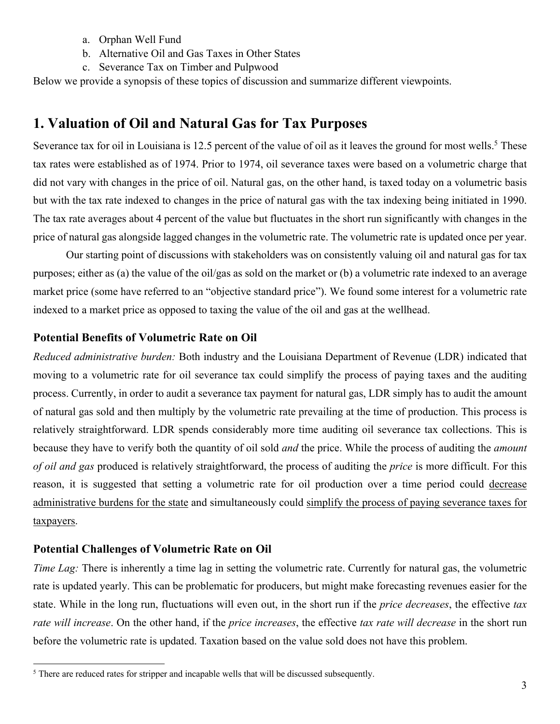- a. Orphan Well Fund
- b. Alternative Oil and Gas Taxes in Other States
- c. Severance Tax on Timber and Pulpwood

Below we provide a synopsis of these topics of discussion and summarize different viewpoints.

# **1. Valuation of Oil and Natural Gas for Tax Purposes**

Severance tax for oil in Louisiana is 12.5 percent of the value of oil as it leaves the ground for most wells.<sup>5</sup> These tax rates were established as of 1974. Prior to 1974, oil severance taxes were based on a volumetric charge that did not vary with changes in the price of oil. Natural gas, on the other hand, is taxed today on a volumetric basis but with the tax rate indexed to changes in the price of natural gas with the tax indexing being initiated in 1990. The tax rate averages about 4 percent of the value but fluctuates in the short run significantly with changes in the price of natural gas alongside lagged changes in the volumetric rate. The volumetric rate is updated once per year.

Our starting point of discussions with stakeholders was on consistently valuing oil and natural gas for tax purposes; either as (a) the value of the oil/gas as sold on the market or (b) a volumetric rate indexed to an average market price (some have referred to an "objective standard price"). We found some interest for a volumetric rate indexed to a market price as opposed to taxing the value of the oil and gas at the wellhead.

## **Potential Benefits of Volumetric Rate on Oil**

*Reduced administrative burden:* Both industry and the Louisiana Department of Revenue (LDR) indicated that moving to a volumetric rate for oil severance tax could simplify the process of paying taxes and the auditing process. Currently, in order to audit a severance tax payment for natural gas, LDR simply has to audit the amount of natural gas sold and then multiply by the volumetric rate prevailing at the time of production. This process is relatively straightforward. LDR spends considerably more time auditing oil severance tax collections. This is because they have to verify both the quantity of oil sold *and* the price. While the process of auditing the *amount of oil and gas* produced is relatively straightforward, the process of auditing the *price* is more difficult. For this reason, it is suggested that setting a volumetric rate for oil production over a time period could decrease administrative burdens for the state and simultaneously could simplify the process of paying severance taxes for taxpayers.

# **Potential Challenges of Volumetric Rate on Oil**

*Time Lag:* There is inherently a time lag in setting the volumetric rate. Currently for natural gas, the volumetric rate is updated yearly. This can be problematic for producers, but might make forecasting revenues easier for the state. While in the long run, fluctuations will even out, in the short run if the *price decreases*, the effective *tax rate will increase*. On the other hand, if the *price increases*, the effective *tax rate will decrease* in the short run before the volumetric rate is updated. Taxation based on the value sold does not have this problem.

<sup>&</sup>lt;sup>5</sup> There are reduced rates for stripper and incapable wells that will be discussed subsequently.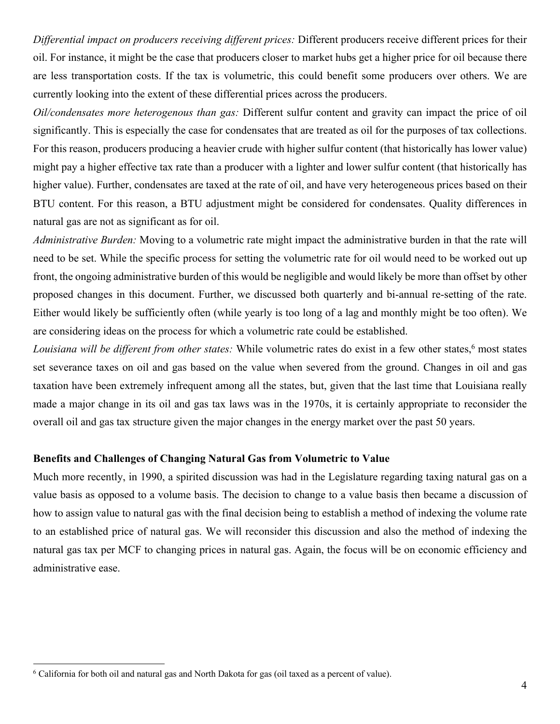*Differential impact on producers receiving different prices:* Different producers receive different prices for their oil. For instance, it might be the case that producers closer to market hubs get a higher price for oil because there are less transportation costs. If the tax is volumetric, this could benefit some producers over others. We are currently looking into the extent of these differential prices across the producers.

*Oil/condensates more heterogenous than gas:* Different sulfur content and gravity can impact the price of oil significantly. This is especially the case for condensates that are treated as oil for the purposes of tax collections. For this reason, producers producing a heavier crude with higher sulfur content (that historically has lower value) might pay a higher effective tax rate than a producer with a lighter and lower sulfur content (that historically has higher value). Further, condensates are taxed at the rate of oil, and have very heterogeneous prices based on their BTU content. For this reason, a BTU adjustment might be considered for condensates. Quality differences in natural gas are not as significant as for oil.

*Administrative Burden:* Moving to a volumetric rate might impact the administrative burden in that the rate will need to be set. While the specific process for setting the volumetric rate for oil would need to be worked out up front, the ongoing administrative burden of this would be negligible and would likely be more than offset by other proposed changes in this document. Further, we discussed both quarterly and bi-annual re-setting of the rate. Either would likely be sufficiently often (while yearly is too long of a lag and monthly might be too often). We are considering ideas on the process for which a volumetric rate could be established.

*Louisiana will be different from other states:* While volumetric rates do exist in a few other states, <sup>6</sup> most states set severance taxes on oil and gas based on the value when severed from the ground. Changes in oil and gas taxation have been extremely infrequent among all the states, but, given that the last time that Louisiana really made a major change in its oil and gas tax laws was in the 1970s, it is certainly appropriate to reconsider the overall oil and gas tax structure given the major changes in the energy market over the past 50 years.

#### **Benefits and Challenges of Changing Natural Gas from Volumetric to Value**

Much more recently, in 1990, a spirited discussion was had in the Legislature regarding taxing natural gas on a value basis as opposed to a volume basis. The decision to change to a value basis then became a discussion of how to assign value to natural gas with the final decision being to establish a method of indexing the volume rate to an established price of natural gas. We will reconsider this discussion and also the method of indexing the natural gas tax per MCF to changing prices in natural gas. Again, the focus will be on economic efficiency and administrative ease.

<sup>&</sup>lt;sup>6</sup> California for both oil and natural gas and North Dakota for gas (oil taxed as a percent of value).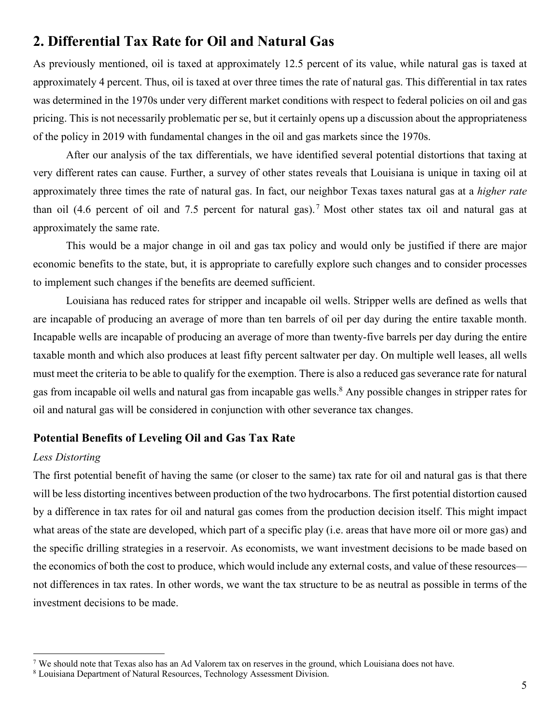# **2. Differential Tax Rate for Oil and Natural Gas**

As previously mentioned, oil is taxed at approximately 12.5 percent of its value, while natural gas is taxed at approximately 4 percent. Thus, oil is taxed at over three times the rate of natural gas. This differential in tax rates was determined in the 1970s under very different market conditions with respect to federal policies on oil and gas pricing. This is not necessarily problematic per se, but it certainly opens up a discussion about the appropriateness of the policy in 2019 with fundamental changes in the oil and gas markets since the 1970s.

After our analysis of the tax differentials, we have identified several potential distortions that taxing at very different rates can cause. Further, a survey of other states reveals that Louisiana is unique in taxing oil at approximately three times the rate of natural gas. In fact, our neighbor Texas taxes natural gas at a *higher rate* than oil (4.6 percent of oil and 7.5 percent for natural gas). <sup>7</sup> Most other states tax oil and natural gas at approximately the same rate.

This would be a major change in oil and gas tax policy and would only be justified if there are major economic benefits to the state, but, it is appropriate to carefully explore such changes and to consider processes to implement such changes if the benefits are deemed sufficient.

Louisiana has reduced rates for stripper and incapable oil wells. Stripper wells are defined as wells that are incapable of producing an average of more than ten barrels of oil per day during the entire taxable month. Incapable wells are incapable of producing an average of more than twenty-five barrels per day during the entire taxable month and which also produces at least fifty percent saltwater per day. On multiple well leases, all wells must meet the criteria to be able to qualify for the exemption. There is also a reduced gas severance rate for natural gas from incapable oil wells and natural gas from incapable gas wells. <sup>8</sup> Any possible changes in stripper rates for oil and natural gas will be considered in conjunction with other severance tax changes.

## **Potential Benefits of Leveling Oil and Gas Tax Rate**

#### *Less Distorting*

The first potential benefit of having the same (or closer to the same) tax rate for oil and natural gas is that there will be less distorting incentives between production of the two hydrocarbons. The first potential distortion caused by a difference in tax rates for oil and natural gas comes from the production decision itself. This might impact what areas of the state are developed, which part of a specific play (i.e. areas that have more oil or more gas) and the specific drilling strategies in a reservoir. As economists, we want investment decisions to be made based on the economics of both the cost to produce, which would include any external costs, and value of these resources not differences in tax rates. In other words, we want the tax structure to be as neutral as possible in terms of the investment decisions to be made.

<sup>&</sup>lt;sup>7</sup> We should note that Texas also has an Ad Valorem tax on reserves in the ground, which Louisiana does not have.

<sup>8</sup> Louisiana Department of Natural Resources, Technology Assessment Division.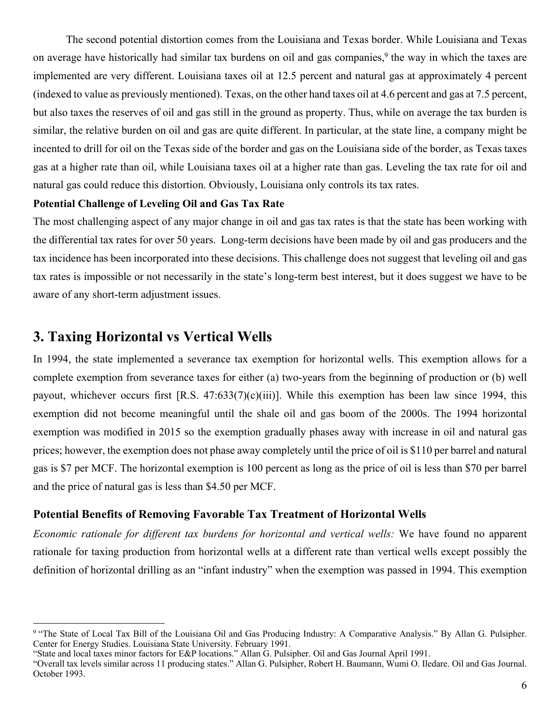The second potential distortion comes from the Louisiana and Texas border. While Louisiana and Texas on average have historically had similar tax burdens on oil and gas companies,<sup>9</sup> the way in which the taxes are implemented are very different. Louisiana taxes oil at 12.5 percent and natural gas at approximately 4 percent (indexed to value as previously mentioned). Texas, on the other hand taxes oil at 4.6 percent and gas at 7.5 percent, but also taxes the reserves of oil and gas still in the ground as property. Thus, while on average the tax burden is similar, the relative burden on oil and gas are quite different. In particular, at the state line, a company might be incented to drill for oil on the Texas side of the border and gas on the Louisiana side of the border, as Texas taxes gas at a higher rate than oil, while Louisiana taxes oil at a higher rate than gas. Leveling the tax rate for oil and natural gas could reduce this distortion. Obviously, Louisiana only controls its tax rates.

#### **Potential Challenge of Leveling Oil and Gas Tax Rate**

The most challenging aspect of any major change in oil and gas tax rates is that the state has been working with the differential tax rates for over 50 years. Long-term decisions have been made by oil and gas producers and the tax incidence has been incorporated into these decisions. This challenge does not suggest that leveling oil and gas tax rates is impossible or not necessarily in the state's long-term best interest, but it does suggest we have to be aware of any short-term adjustment issues.

# **3. Taxing Horizontal vs Vertical Wells**

In 1994, the state implemented a severance tax exemption for horizontal wells. This exemption allows for a complete exemption from severance taxes for either (a) two-years from the beginning of production or (b) well payout, whichever occurs first [R.S.  $47:633(7)(c)(iii)$ ]. While this exemption has been law since 1994, this exemption did not become meaningful until the shale oil and gas boom of the 2000s. The 1994 horizontal exemption was modified in 2015 so the exemption gradually phases away with increase in oil and natural gas prices; however, the exemption does not phase away completely until the price of oil is \$110 per barrel and natural gas is \$7 per MCF. The horizontal exemption is 100 percent as long as the price of oil is less than \$70 per barrel and the price of natural gas is less than \$4.50 per MCF.

## **Potential Benefits of Removing Favorable Tax Treatment of Horizontal Wells**

*Economic rationale for different tax burdens for horizontal and vertical wells:* We have found no apparent rationale for taxing production from horizontal wells at a different rate than vertical wells except possibly the definition of horizontal drilling as an "infant industry" when the exemption was passed in 1994. This exemption

"State and local taxes minor factors for E&P locations." Allan G. Pulsipher. Oil and Gas Journal April 1991.

<sup>9 &</sup>quot;The State of Local Tax Bill of the Louisiana Oil and Gas Producing Industry: A Comparative Analysis." By Allan G. Pulsipher. Center for Energy Studies. Louisiana State University. February 1991.

<sup>&</sup>quot;Overall tax levels similar across 11 producing states." Allan G. Pulsipher, Robert H. Baumann, Wumi O. Iledare. Oil and Gas Journal. October 1993.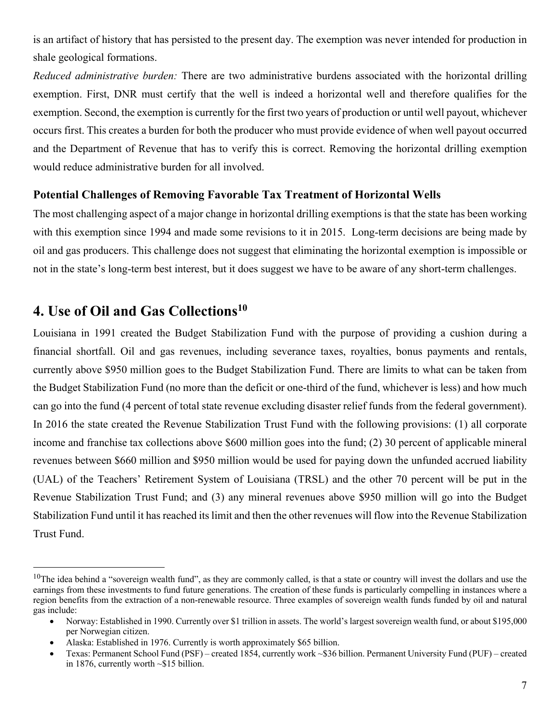is an artifact of history that has persisted to the present day. The exemption was never intended for production in shale geological formations.

*Reduced administrative burden:* There are two administrative burdens associated with the horizontal drilling exemption. First, DNR must certify that the well is indeed a horizontal well and therefore qualifies for the exemption. Second, the exemption is currently for the first two years of production or until well payout, whichever occurs first. This creates a burden for both the producer who must provide evidence of when well payout occurred and the Department of Revenue that has to verify this is correct. Removing the horizontal drilling exemption would reduce administrative burden for all involved.

## **Potential Challenges of Removing Favorable Tax Treatment of Horizontal Wells**

The most challenging aspect of a major change in horizontal drilling exemptions is that the state has been working with this exemption since 1994 and made some revisions to it in 2015. Long-term decisions are being made by oil and gas producers. This challenge does not suggest that eliminating the horizontal exemption is impossible or not in the state's long-term best interest, but it does suggest we have to be aware of any short-term challenges.

# **4. Use of Oil and Gas Collections10**

Louisiana in 1991 created the Budget Stabilization Fund with the purpose of providing a cushion during a financial shortfall. Oil and gas revenues, including severance taxes, royalties, bonus payments and rentals, currently above \$950 million goes to the Budget Stabilization Fund. There are limits to what can be taken from the Budget Stabilization Fund (no more than the deficit or one-third of the fund, whichever is less) and how much can go into the fund (4 percent of total state revenue excluding disaster relief funds from the federal government). In 2016 the state created the Revenue Stabilization Trust Fund with the following provisions: (1) all corporate income and franchise tax collections above \$600 million goes into the fund; (2) 30 percent of applicable mineral revenues between \$660 million and \$950 million would be used for paying down the unfunded accrued liability (UAL) of the Teachers' Retirement System of Louisiana (TRSL) and the other 70 percent will be put in the Revenue Stabilization Trust Fund; and (3) any mineral revenues above \$950 million will go into the Budget Stabilization Fund until it has reached its limit and then the other revenues will flow into the Revenue Stabilization Trust Fund.

 $10$ The idea behind a "sovereign wealth fund", as they are commonly called, is that a state or country will invest the dollars and use the earnings from these investments to fund future generations. The creation of these funds is particularly compelling in instances where a region benefits from the extraction of a non-renewable resource. Three examples of sovereign wealth funds funded by oil and natural gas include:

<sup>•</sup> Norway: Established in 1990. Currently over \$1 trillion in assets. The world's largest sovereign wealth fund, or about \$195,000 per Norwegian citizen.

<sup>•</sup> Alaska: Established in 1976. Currently is worth approximately \$65 billion.

<sup>•</sup> Texas: Permanent School Fund (PSF) – created 1854, currently work ~\$36 billion. Permanent University Fund (PUF) – created in 1876, currently worth ~\$15 billion.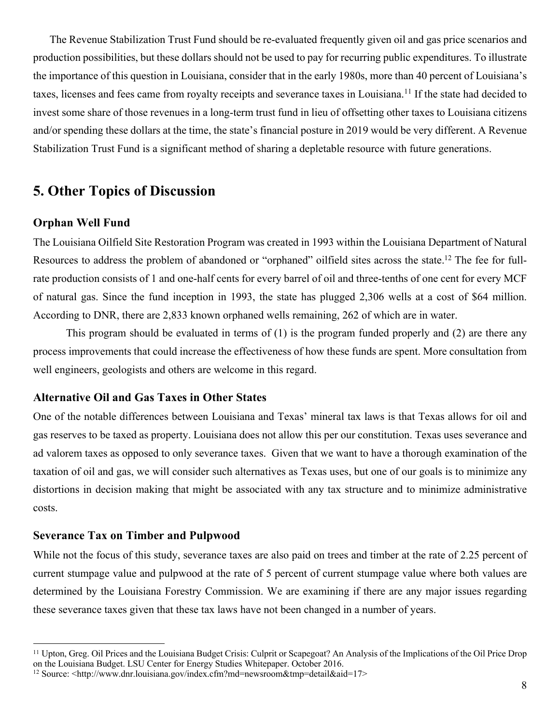The Revenue Stabilization Trust Fund should be re-evaluated frequently given oil and gas price scenarios and production possibilities, but these dollars should not be used to pay for recurring public expenditures. To illustrate the importance of this question in Louisiana, consider that in the early 1980s, more than 40 percent of Louisiana's taxes, licenses and fees came from royalty receipts and severance taxes in Louisiana.<sup>11</sup> If the state had decided to invest some share of those revenues in a long-term trust fund in lieu of offsetting other taxes to Louisiana citizens and/or spending these dollars at the time, the state's financial posture in 2019 would be very different. A Revenue Stabilization Trust Fund is a significant method of sharing a depletable resource with future generations.

# **5. Other Topics of Discussion**

## **Orphan Well Fund**

The Louisiana Oilfield Site Restoration Program was created in 1993 within the Louisiana Department of Natural Resources to address the problem of abandoned or "orphaned" oilfield sites across the state.<sup>12</sup> The fee for fullrate production consists of 1 and one-half cents for every barrel of oil and three-tenths of one cent for every MCF of natural gas. Since the fund inception in 1993, the state has plugged 2,306 wells at a cost of \$64 million. According to DNR, there are 2,833 known orphaned wells remaining, 262 of which are in water.

This program should be evaluated in terms of (1) is the program funded properly and (2) are there any process improvements that could increase the effectiveness of how these funds are spent. More consultation from well engineers, geologists and others are welcome in this regard.

## **Alternative Oil and Gas Taxes in Other States**

One of the notable differences between Louisiana and Texas' mineral tax laws is that Texas allows for oil and gas reserves to be taxed as property. Louisiana does not allow this per our constitution. Texas uses severance and ad valorem taxes as opposed to only severance taxes. Given that we want to have a thorough examination of the taxation of oil and gas, we will consider such alternatives as Texas uses, but one of our goals is to minimize any distortions in decision making that might be associated with any tax structure and to minimize administrative costs.

#### **Severance Tax on Timber and Pulpwood**

While not the focus of this study, severance taxes are also paid on trees and timber at the rate of 2.25 percent of current stumpage value and pulpwood at the rate of 5 percent of current stumpage value where both values are determined by the Louisiana Forestry Commission. We are examining if there are any major issues regarding these severance taxes given that these tax laws have not been changed in a number of years.

 <sup>11</sup> Upton, Greg. Oil Prices and the Louisiana Budget Crisis: Culprit or Scapegoat? An Analysis of the Implications of the Oil Price Drop on the Louisiana Budget. LSU Center for Energy Studies Whitepaper. October 2016.

<sup>12</sup> Source: <http://www.dnr.louisiana.gov/index.cfm?md=newsroom&tmp=detail&aid=17>